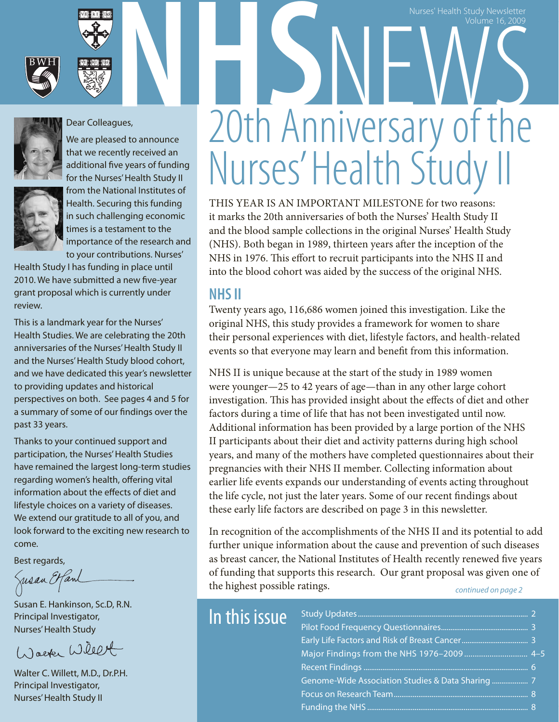





#### Dear Colleagues,

We are pleased to announce that we recently received an additional five years of funding for the Nurses' Health Study II



#### from the National Institutes of Health. Securing this funding in such challenging economic times is a testament to the importance of the research and to your contributions. Nurses'

Health Study I has funding in place until 2010. We have submitted a new five-year grant proposal which is currently under review.

This is a landmark year for the Nurses' Health Studies. We are celebrating the 20th anniversaries of the Nurses' Health Study II and the Nurses' Health Study blood cohort, and we have dedicated this year's newsletter to providing updates and historical perspectives on both. See pages 4 and 5 for a summary of some of our findings over the past 33 years.

Thanks to your continued support and participation, the Nurses' Health Studies have remained the largest long-term studies regarding women's health, offering vital information about the effects of diet and lifestyle choices on a variety of diseases. We extend our gratitude to all of you, and look forward to the exciting new research to come.

Best regards,

Jusan Etfanl

Susan E. Hankinson, Sc.D, R.N. Principal Investigator, Nurses' Health Study

Warter Willet

Walter C. Willett, M.D., Dr.P.H. Principal Investigator, Nurses' Health Study II

# **Nurses' Health Study Newsletter**<br> **NHS** NEWSLET MANNIVERS ARRIVED TO THE MANNIVERS ARRIVED TO THE MANNIVERS ARRY OF THE MANNIVERS ARRY OF THE MANNING 20th Anniversary of the Nurses' Health Study

Nurses' Health Study Newsletter **Newsletter** 

Volume 16, 2009

This year is an important milestone for two reasons: it marks the 20th anniversaries of both the Nurses' Health Study II and the blood sample collections in the original Nurses' Health Study (NHS). Both began in 1989, thirteen years after the inception of the NHS in 1976. This effort to recruit participants into the NHS II and into the blood cohort was aided by the success of the original NHS.

#### **NHS II**

Twenty years ago, 116,686 women joined this investigation. Like the original NHS, this study provides a framework for women to share their personal experiences with diet, lifestyle factors, and health-related events so that everyone may learn and benefit from this information.

NHS II is unique because at the start of the study in 1989 women were younger—25 to 42 years of age—than in any other large cohort investigation. This has provided insight about the effects of diet and other factors during a time of life that has not been investigated until now. Additional information has been provided by a large portion of the NHS II participants about their diet and activity patterns during high school years, and many of the mothers have completed questionnaires about their pregnancies with their NHS II member. Collecting information about earlier life events expands our understanding of events acting throughout the life cycle, not just the later years. Some of our recent findings about these early life factors are described on page 3 in this newsletter.

In recognition of the accomplishments of the NHS II and its potential to add further unique information about the cause and prevention of such diseases as breast cancer, the National Institutes of Health recently renewed five years of funding that supports this research. Our grant proposal was given one of the highest possible ratings. *continued on page 2*

| In this issue |  |
|---------------|--|
|               |  |
|               |  |
|               |  |
|               |  |
|               |  |
|               |  |
|               |  |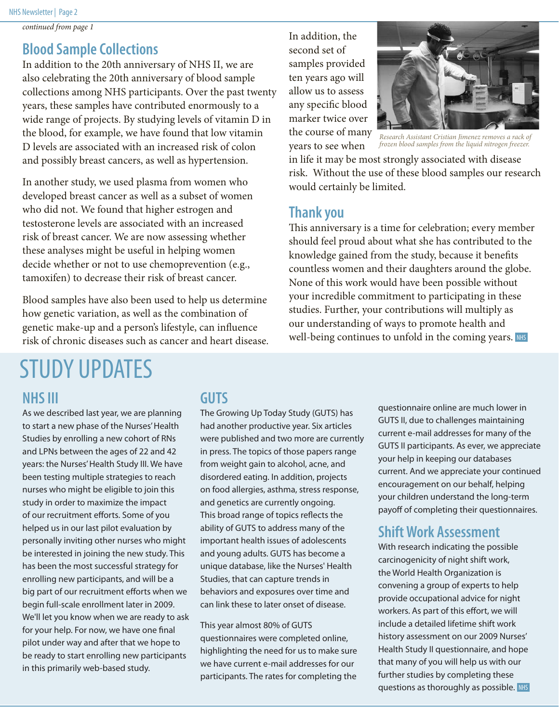*continued from page 1*

#### **Blood Sample Collections**

In addition to the 20th anniversary of NHS II, we are also celebrating the 20th anniversary of blood sample collections among NHS participants. Over the past twenty years, these samples have contributed enormously to a wide range of projects. By studying levels of vitamin D in the blood, for example, we have found that low vitamin D levels are associated with an increased risk of colon and possibly breast cancers, as well as hypertension.

In another study, we used plasma from women who developed breast cancer as well as a subset of women who did not. We found that higher estrogen and testosterone levels are associated with an increased risk of breast cancer. We are now assessing whether these analyses might be useful in helping women decide whether or not to use chemoprevention (e.g., tamoxifen) to decrease their risk of breast cancer.

Blood samples have also been used to help us determine how genetic variation, as well as the combination of genetic make-up and a person's lifestyle, can influence risk of chronic diseases such as cancer and heart disease. In addition, the second set of samples provided ten years ago will allow us to assess any specific blood marker twice over the course of many years to see when



*Research Assistant Cristian Jimenez removes a rack of frozen blood samples from the liquid nitrogen freezer.*

in life it may be most strongly associated with disease risk. Without the use of these blood samples our research would certainly be limited.

#### **Thank you**

This anniversary is a time for celebration; every member should feel proud about what she has contributed to the knowledge gained from the study, because it benefits countless women and their daughters around the globe. None of this work would have been possible without your incredible commitment to participating in these studies. Further, your contributions will multiply as our understanding of ways to promote health and well-being continues to unfold in the coming years. NHS

## STUDY UPDATES

#### **NHS III**

As we described last year, we are planning to start a new phase of the Nurses' Health Studies by enrolling a new cohort of RNs and LPNs between the ages of 22 and 42 years: the Nurses' Health Study III. We have been testing multiple strategies to reach nurses who might be eligible to join this study in order to maximize the impact of our recruitment efforts. Some of you helped us in our last pilot evaluation by personally inviting other nurses who might be interested in joining the new study. This has been the most successful strategy for enrolling new participants, and will be a big part of our recruitment efforts when we begin full-scale enrollment later in 2009. We'll let you know when we are ready to ask for your help. For now, we have one final pilot under way and after that we hope to be ready to start enrolling new participants in this primarily web-based study.

#### **GUTS**

The Growing Up Today Study (GUTS) has had another productive year. Six articles were published and two more are currently in press. The topics of those papers range from weight gain to alcohol, acne, and disordered eating. In addition, projects on food allergies, asthma, stress response, and genetics are currently ongoing. This broad range of topics reflects the ability of GUTS to address many of the important health issues of adolescents and young adults. GUTS has become a unique database, like the Nurses' Health Studies, that can capture trends in behaviors and exposures over time and can link these to later onset of disease.

This year almost 80% of GUTS questionnaires were completed online, highlighting the need for us to make sure we have current e-mail addresses for our participants. The rates for completing the

questionnaire online are much lower in GUTS II, due to challenges maintaining current e-mail addresses for many of the GUTS II participants. As ever, we appreciate your help in keeping our databases current. And we appreciate your continued encouragement on our behalf, helping your children understand the long-term payoff of completing their questionnaires.

#### **Shift Work Assessment**

questions as thoroughly as possible. NHS With research indicating the possible carcinogenicity of night shift work, the World Health Organization is convening a group of experts to help provide occupational advice for night workers. As part of this effort, we will include a detailed lifetime shift work history assessment on our 2009 Nurses' Health Study II questionnaire, and hope that many of you will help us with our further studies by completing these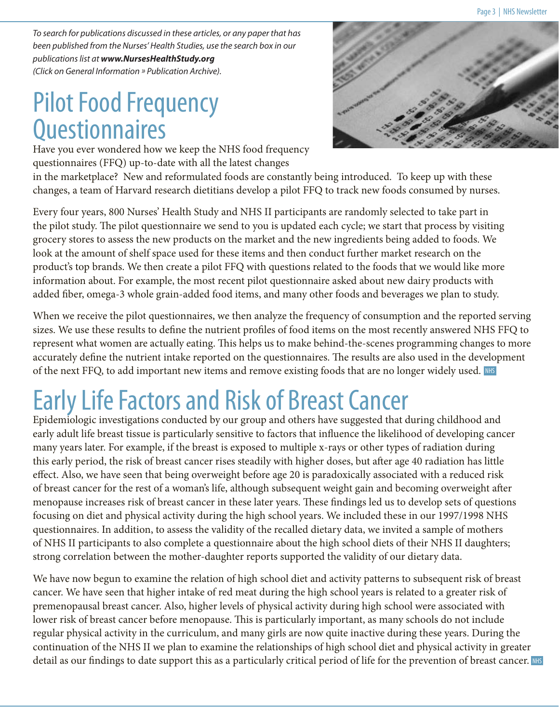*To search for publications discussed in these articles, or any paper that has been published from the Nurses' Health Studies, use the search box in our publications list at www.NursesHealthStudy.org (Click on General Information » Publication Archive).*

### Pilot Food Frequency **Questionnaires**

Have you ever wondered how we keep the NHS food frequency questionnaires (FFQ) up-to-date with all the latest changes



in the marketplace? New and reformulated foods are constantly being introduced. To keep up with these changes, a team of Harvard research dietitians develop a pilot FFQ to track new foods consumed by nurses.

Every four years, 800 Nurses' Health Study and NHS II participants are randomly selected to take part in the pilot study. The pilot questionnaire we send to you is updated each cycle; we start that process by visiting grocery stores to assess the new products on the market and the new ingredients being added to foods. We look at the amount of shelf space used for these items and then conduct further market research on the product's top brands. We then create a pilot FFQ with questions related to the foods that we would like more information about. For example, the most recent pilot questionnaire asked about new dairy products with added fiber, omega-3 whole grain-added food items, and many other foods and beverages we plan to study.

When we receive the pilot questionnaires, we then analyze the frequency of consumption and the reported serving sizes. We use these results to define the nutrient profiles of food items on the most recently answered NHS FFQ to represent what women are actually eating. This helps us to make behind-the-scenes programming changes to more accurately define the nutrient intake reported on the questionnaires. The results are also used in the development of the next FFQ, to add important new items and remove existing foods that are no longer widely used. NHS

## Early Life Factors and Risk of Breast Cancer

Epidemiologic investigations conducted by our group and others have suggested that during childhood and early adult life breast tissue is particularly sensitive to factors that influence the likelihood of developing cancer many years later. For example, if the breast is exposed to multiple x-rays or other types of radiation during this early period, the risk of breast cancer rises steadily with higher doses, but after age 40 radiation has little effect. Also, we have seen that being overweight before age 20 is paradoxically associated with a reduced risk of breast cancer for the rest of a woman's life, although subsequent weight gain and becoming overweight after menopause increases risk of breast cancer in these later years. These findings led us to develop sets of questions focusing on diet and physical activity during the high school years. We included these in our 1997/1998 NHS questionnaires. In addition, to assess the validity of the recalled dietary data, we invited a sample of mothers of NHS II participants to also complete a questionnaire about the high school diets of their NHS II daughters; strong correlation between the mother-daughter reports supported the validity of our dietary data.

We have now begun to examine the relation of high school diet and activity patterns to subsequent risk of breast cancer. We have seen that higher intake of red meat during the high school years is related to a greater risk of premenopausal breast cancer. Also, higher levels of physical activity during high school were associated with lower risk of breast cancer before menopause. This is particularly important, as many schools do not include regular physical activity in the curriculum, and many girls are now quite inactive during these years. During the continuation of the NHS II we plan to examine the relationships of high school diet and physical activity in greater detail as our findings to date support this as a particularly critical period of life for the prevention of breast cancer. NHS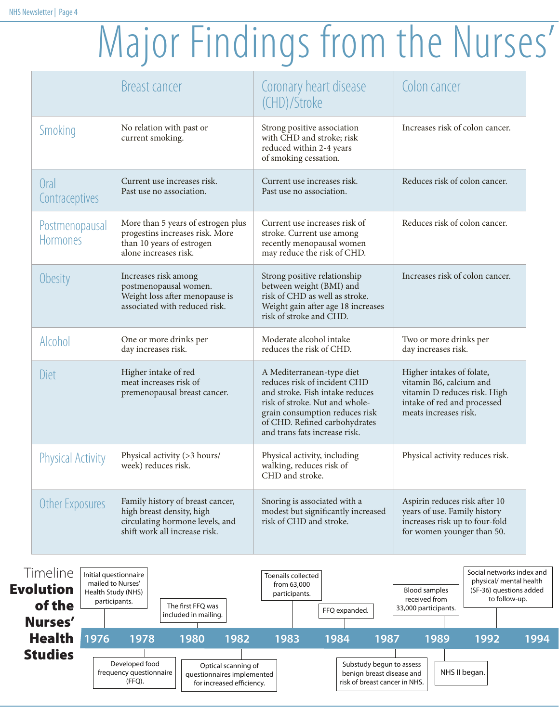## Major Findings from the Nurses'

|                                   | <b>Breast cancer</b>                                                                                                              | Coronary heart disease<br>(CHD)/Stroke                                                                                                                                                                                             | Colon cancer                                                                                                                                 |
|-----------------------------------|-----------------------------------------------------------------------------------------------------------------------------------|------------------------------------------------------------------------------------------------------------------------------------------------------------------------------------------------------------------------------------|----------------------------------------------------------------------------------------------------------------------------------------------|
| Smoking                           | No relation with past or<br>current smoking.                                                                                      | Strong positive association<br>with CHD and stroke; risk<br>reduced within 2-4 years<br>of smoking cessation.                                                                                                                      | Increases risk of colon cancer.                                                                                                              |
| Oral<br>Contraceptives            | Current use increases risk.<br>Past use no association.                                                                           | Current use increases risk.<br>Past use no association.                                                                                                                                                                            | Reduces risk of colon cancer.                                                                                                                |
| Postmenopausal<br><b>Hormones</b> | More than 5 years of estrogen plus<br>progestins increases risk. More<br>than 10 years of estrogen<br>alone increases risk.       | Current use increases risk of<br>stroke. Current use among<br>recently menopausal women<br>may reduce the risk of CHD.                                                                                                             | Reduces risk of colon cancer.                                                                                                                |
| Obesity                           | Increases risk among<br>postmenopausal women.<br>Weight loss after menopause is<br>associated with reduced risk.                  | Strong positive relationship<br>between weight (BMI) and<br>risk of CHD as well as stroke.<br>Weight gain after age 18 increases<br>risk of stroke and CHD.                                                                        | Increases risk of colon cancer.                                                                                                              |
| Alcohol                           | One or more drinks per<br>day increases risk.                                                                                     | Moderate alcohol intake<br>reduces the risk of CHD.                                                                                                                                                                                | Two or more drinks per<br>day increases risk.                                                                                                |
| Diet                              | Higher intake of red<br>meat increases risk of<br>premenopausal breast cancer.                                                    | A Mediterranean-type diet<br>reduces risk of incident CHD<br>and stroke. Fish intake reduces<br>risk of stroke. Nut and whole-<br>grain consumption reduces risk<br>of CHD. Refined carbohydrates<br>and trans fats increase risk. | Higher intakes of folate,<br>vitamin B6, calcium and<br>vitamin D reduces risk. High<br>intake of red and processed<br>meats increases risk. |
| <b>Physical Activity</b>          | Physical activity (>3 hours/<br>week) reduces risk.                                                                               | Physical activity, including<br>walking, reduces risk of<br>CHD and stroke.                                                                                                                                                        | Physical activity reduces risk.                                                                                                              |
| Other Exposures                   | Family history of breast cancer,<br>high breast density, high<br>circulating hormone levels, and<br>shift work all increase risk. | Snoring is associated with a<br>modest but significantly increased<br>risk of CHD and stroke.                                                                                                                                      | Aspirin reduces risk after 10<br>years of use. Family history<br>increases risk up to four-fold<br>for women younger than 50.                |

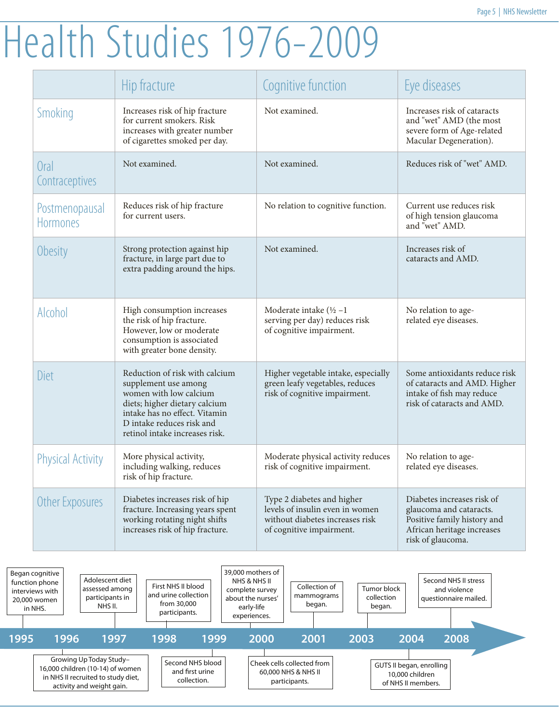## Health Studies 1976-2009

|                                   | Hip fracture                                                                                                                                                                                                      | Cognitive function                                                                                                           | Eye diseases                                                                                                                            |
|-----------------------------------|-------------------------------------------------------------------------------------------------------------------------------------------------------------------------------------------------------------------|------------------------------------------------------------------------------------------------------------------------------|-----------------------------------------------------------------------------------------------------------------------------------------|
| Smoking                           | Increases risk of hip fracture<br>for current smokers. Risk<br>increases with greater number<br>of cigarettes smoked per day.                                                                                     | Not examined.                                                                                                                | Increases risk of cataracts<br>and "wet" AMD (the most<br>severe form of Age-related<br>Macular Degeneration).                          |
| Oral<br>Contraceptives            | Not examined.                                                                                                                                                                                                     | Not examined.                                                                                                                | Reduces risk of "wet" AMD.                                                                                                              |
| Postmenopausal<br><b>Hormones</b> | Reduces risk of hip fracture<br>for current users.                                                                                                                                                                | No relation to cognitive function.                                                                                           | Current use reduces risk<br>of high tension glaucoma<br>and "wet" AMD.                                                                  |
| Obesity                           | Strong protection against hip<br>fracture, in large part due to<br>extra padding around the hips.                                                                                                                 | Not examined.                                                                                                                | Increases risk of<br>cataracts and AMD.                                                                                                 |
| Alcohol                           | High consumption increases<br>the risk of hip fracture.<br>However, low or moderate<br>consumption is associated<br>with greater bone density.                                                                    | Moderate intake $(\frac{1}{2} - 1)$<br>serving per day) reduces risk<br>of cognitive impairment.                             | No relation to age-<br>related eye diseases.                                                                                            |
| Diet                              | Reduction of risk with calcium<br>supplement use among<br>women with low calcium<br>diets; higher dietary calcium<br>intake has no effect. Vitamin<br>D intake reduces risk and<br>retinol intake increases risk. | Higher vegetable intake, especially<br>green leafy vegetables, reduces<br>risk of cognitive impairment.                      | Some antioxidants reduce risk<br>of cataracts and AMD. Higher<br>intake of fish may reduce<br>risk of cataracts and AMD.                |
| <b>Physical Activity</b>          | More physical activity,<br>including walking, reduces<br>risk of hip fracture.                                                                                                                                    | Moderate physical activity reduces<br>risk of cognitive impairment.                                                          | No relation to age-<br>related eye diseases.                                                                                            |
| Other Exposures                   | Diabetes increases risk of hip<br>fracture. Increasing years spent<br>working rotating night shifts<br>increases risk of hip fracture.                                                                            | Type 2 diabetes and higher<br>levels of insulin even in women<br>without diabetes increases risk<br>of cognitive impairment. | Diabetes increases risk of<br>glaucoma and cataracts.<br>Positive family history and<br>African heritage increases<br>risk of glaucoma. |

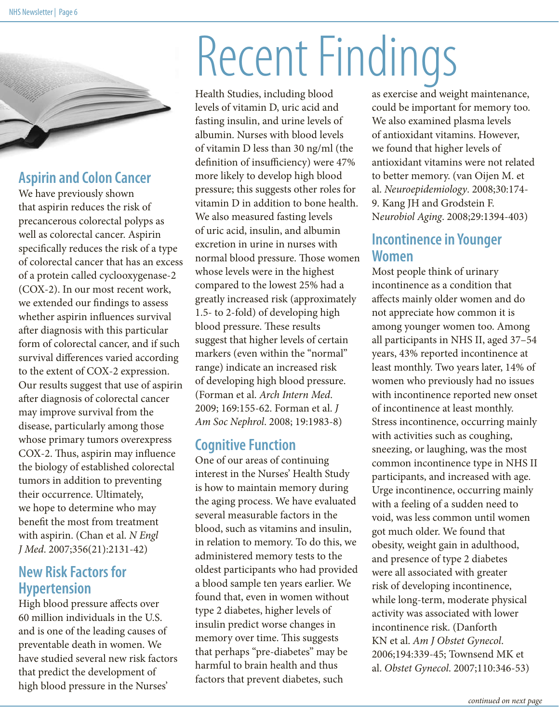

#### **Aspirin and Colon Cancer**

We have previously shown that aspirin reduces the risk of precancerous colorectal polyps as well as colorectal cancer. Aspirin specifically reduces the risk of a type of colorectal cancer that has an excess of a protein called cyclooxygenase-2 (COX-2). In our most recent work, we extended our findings to assess whether aspirin influences survival after diagnosis with this particular form of colorectal cancer, and if such survival differences varied according to the extent of COX-2 expression. Our results suggest that use of aspirin after diagnosis of colorectal cancer may improve survival from the disease, particularly among those whose primary tumors overexpress COX-2. Thus, aspirin may influence the biology of established colorectal tumors in addition to preventing their occurrence. Ultimately, we hope to determine who may benefit the most from treatment with aspirin. (Chan et al. *N Engl J Med*. 2007;356(21):2131-42)

#### **New Risk Factors for Hypertension**

High blood pressure affects over 60 million individuals in the U.S. and is one of the leading causes of preventable death in women. We have studied several new risk factors that predict the development of high blood pressure in the Nurses'

## Recent Findings

Health Studies, including blood levels of vitamin D, uric acid and fasting insulin, and urine levels of albumin. Nurses with blood levels of vitamin D less than 30 ng/ml (the definition of insufficiency) were 47% more likely to develop high blood pressure; this suggests other roles for vitamin D in addition to bone health. We also measured fasting levels of uric acid, insulin, and albumin excretion in urine in nurses with normal blood pressure. Those women whose levels were in the highest compared to the lowest 25% had a greatly increased risk (approximately 1.5- to 2-fold) of developing high blood pressure. These results suggest that higher levels of certain markers (even within the "normal" range) indicate an increased risk of developing high blood pressure. (Forman et al. *Arch Intern Med*. 2009; 169:155-62. Forman et al. *J Am Soc Nephrol*. 2008; 19:1983-8)

#### **Cognitive Function**

One of our areas of continuing interest in the Nurses' Health Study is how to maintain memory during the aging process. We have evaluated several measurable factors in the blood, such as vitamins and insulin, in relation to memory. To do this, we administered memory tests to the oldest participants who had provided a blood sample ten years earlier. We found that, even in women without type 2 diabetes, higher levels of insulin predict worse changes in memory over time. This suggests that perhaps "pre-diabetes" may be harmful to brain health and thus factors that prevent diabetes, such

as exercise and weight maintenance, could be important for memory too. We also examined plasma levels of antioxidant vitamins. However, we found that higher levels of antioxidant vitamins were not related to better memory. (van Oijen M. et al. *Neuroepidemiology*. 2008;30:174- 9. Kang JH and Grodstein F. N*eurobiol Aging*. 2008;29:1394-403)

#### **Incontinence in Younger Women**

Most people think of urinary incontinence as a condition that affects mainly older women and do not appreciate how common it is among younger women too. Among all participants in NHS II, aged 37–54 years, 43% reported incontinence at least monthly. Two years later, 14% of women who previously had no issues with incontinence reported new onset of incontinence at least monthly. Stress incontinence, occurring mainly with activities such as coughing, sneezing, or laughing, was the most common incontinence type in NHS II participants, and increased with age. Urge incontinence, occurring mainly with a feeling of a sudden need to void, was less common until women got much older. We found that obesity, weight gain in adulthood, and presence of type 2 diabetes were all associated with greater risk of developing incontinence, while long-term, moderate physical activity was associated with lower incontinence risk. (Danforth KN et al. *Am J Obstet Gynecol*. 2006;194:339-45; Townsend MK et al. *Obstet Gynecol*. 2007;110:346-53)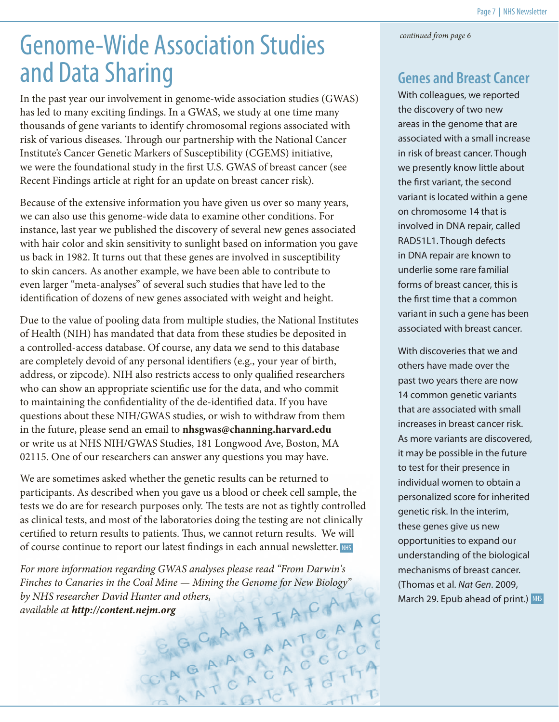*continued from page 6*

### Genome-Wide Association Studies and Data Sharing

In the past year our involvement in genome-wide association studies (GWAS) has led to many exciting findings. In a GWAS, we study at one time many thousands of gene variants to identify chromosomal regions associated with risk of various diseases. Through our partnership with the National Cancer Institute's Cancer Genetic Markers of Susceptibility (CGEMS) initiative, we were the foundational study in the first U.S. GWAS of breast cancer (see Recent Findings article at right for an update on breast cancer risk).

Because of the extensive information you have given us over so many years, we can also use this genome-wide data to examine other conditions. For instance, last year we published the discovery of several new genes associated with hair color and skin sensitivity to sunlight based on information you gave us back in 1982. It turns out that these genes are involved in susceptibility to skin cancers. As another example, we have been able to contribute to even larger "meta-analyses" of several such studies that have led to the identification of dozens of new genes associated with weight and height.

Due to the value of pooling data from multiple studies, the National Institutes of Health (NIH) has mandated that data from these studies be deposited in a controlled-access database. Of course, any data we send to this database are completely devoid of any personal identifiers (e.g., your year of birth, address, or zipcode). NIH also restricts access to only qualified researchers who can show an appropriate scientific use for the data, and who commit to maintaining the confidentiality of the de-identified data. If you have questions about these NIH/GWAS studies, or wish to withdraw from them in the future, please send an email to **nhsgwas@channing.harvard.edu** or write us at NHS NIH/GWAS Studies, 181 Longwood Ave, Boston, MA 02115. One of our researchers can answer any questions you may have.

We are sometimes asked whether the genetic results can be returned to participants. As described when you gave us a blood or cheek cell sample, the tests we do are for research purposes only. The tests are not as tightly controlled as clinical tests, and most of the laboratories doing the testing are not clinically certified to return results to patients. Thus, we cannot return results. We will of course continue to report our latest findings in each annual newsletter. NHS

For more information regarding GWAS analyses please read "From Darwin's<br>Finches to Canaries in the Coal Mine — Mining the Genome for New Biology"<br>by NHS researcher David Hunter and others,<br>available at **http://content.nejm** *Finches to Canaries in the Coal Mine — Mining the Genome for New Biology" by NHS researcher David Hunter and others, available at http://content.nejm.org*

#### **Genes and Breast Cancer**

With colleagues, we reported the discovery of two new areas in the genome that are associated with a small increase in risk of breast cancer. Though we presently know little about the first variant, the second variant is located within a gene on chromosome 14 that is involved in DNA repair, called RAD51L1. Though defects in DNA repair are known to underlie some rare familial forms of breast cancer, this is the first time that a common variant in such a gene has been associated with breast cancer.

March 29. Epub ahead of print.) NHS With discoveries that we and others have made over the past two years there are now 14 common genetic variants that are associated with small increases in breast cancer risk. As more variants are discovered, it may be possible in the future to test for their presence in individual women to obtain a personalized score for inherited genetic risk. In the interim, these genes give us new opportunities to expand our understanding of the biological mechanisms of breast cancer. (Thomas et al. *Nat Gen*. 2009,